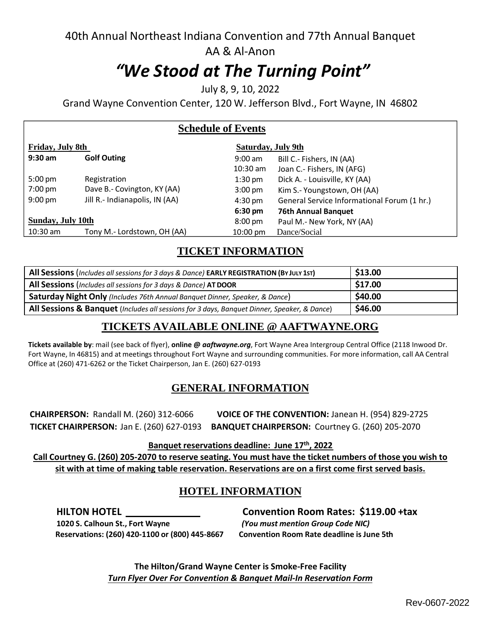## 40th Annual Northeast Indiana Convention and 77th Annual Banquet AA & Al-Anon

# *"We Stood at The Turning Point"*

July 8, 9, 10, 2022

Grand Wayne Convention Center, 120 W. Jefferson Blvd., Fort Wayne, IN 46802

| <b>Schedule of Events</b> |  |
|---------------------------|--|
|---------------------------|--|

| Friday, July 8th  |                                | Saturday, July 9th |                                             |
|-------------------|--------------------------------|--------------------|---------------------------------------------|
| $9:30$ am         | <b>Golf Outing</b>             | $9:00$ am          | Bill C.- Fishers, IN (AA)                   |
|                   |                                | $10:30$ am         | Joan C.- Fishers, IN (AFG)                  |
| $5:00 \text{ pm}$ | Registration                   | $1:30 \text{ pm}$  | Dick A. - Louisville, KY (AA)               |
| 7:00 pm           | Dave B.- Covington, KY (AA)    | $3:00 \text{ pm}$  | Kim S.- Youngstown, OH (AA)                 |
| $9:00$ pm         | Jill R.- Indianapolis, IN (AA) | $4:30 \text{ pm}$  | General Service Informational Forum (1 hr.) |
|                   |                                | $6:30 \text{ pm}$  | <b>76th Annual Banquet</b>                  |
| Sunday, July 10th |                                | $8:00 \text{ pm}$  | Paul M.- New York, NY (AA)                  |
| $10:30$ am        | Tony M.- Lordstown, OH (AA)    | $10:00 \text{ pm}$ | Dance/Social                                |

## **TICKET INFORMATION**

| All Sessions (Includes all sessions for 3 days & Dance) EARLY REGISTRATION (BY JULY 15T)    | \$13.00 |
|---------------------------------------------------------------------------------------------|---------|
| All Sessions (Includes all sessions for 3 days & Dance) AT DOOR                             | \$17.00 |
| Saturday Night Only (Includes 76th Annual Banquet Dinner, Speaker, & Dance)                 | \$40.00 |
| All Sessions & Banquet (Includes all sessions for 3 days, Banquet Dinner, Speaker, & Dance) | \$46.00 |

## **TICKETS AVAILABLE ONLINE @ [AAFTWAYNE.ORG](mailto:TICKETSAVAILABLEONLINE@AAFTWAYNE.ORG)**

**Tickets available by**: mail (see back of flyer), **online @** *aaftwayne.org*, Fort Wayne Area Intergroup Central Office (2118 Inwood Dr. Fort Wayne, In 46815) and at meetings throughout Fort Wayne and surrounding communities. For more information, call AA Central Office at (260) 471-6262 or the Ticket Chairperson, Jan E. (260) 627-0193

## **GENERAL INFORMATION**

**CHAIRPERSON:** Randall M. (260) 312-6066 **VOICE OF THE CONVENTION:** Janean H. (954) 829-2725 **TICKET CHAIRPERSON:** Jan E. (260) 627-0193 **BANQUET CHAIRPERSON:** Courtney G. (260) 205-2070

**Banquet reservations deadline: June 17th , 2022**

Call Courtney G. (260) 205-2070 to reserve seating. You must have the ticket numbers of those you wish to **sit with at time of making table reservation. Reservations are on a first come first served basis.**

## **HOTEL INFORMATION**

**1020 S. Calhoun St., Fort Wayne** *(You must mention Group Code NIC)* **Reservations: (260) 420-1100 or (800) 445-8667 Convention Room Rate deadline is June 5th**

**HILTON HOTEL Convention Room Rates: \$119.00 +tax**

**The Hilton/Grand Wayne Center is Smoke-Free Facility** *Turn Flyer Over For Convention & Banquet Mail-In Reservation Form*